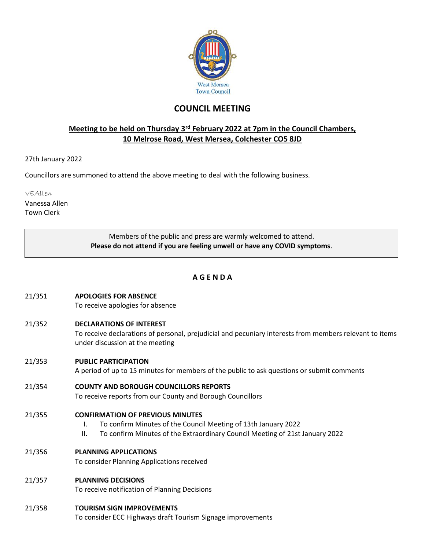

# **COUNCIL MEETING**

# **Meeting to be held on Thursday 3<sup>rd</sup> February 2022 at 7pm in the Council Chambers, 10 Melrose Road, West Mersea, Colchester CO5 8JD**

27th January 2022

Councillors are summoned to attend the above meeting to deal with the following business.

VEAllen

Vanessa Allen Town Clerk

> Members of the public and press are warmly welcomed to attend. **Please do not attend if you are feeling unwell or have any COVID symptoms**.

# **A G E N D A**

- 21/351 **APOLOGIES FOR ABSENCE** To receive apologies for absence
- 21/352 **DECLARATIONS OF INTEREST**

To receive declarations of personal, prejudicial and pecuniary interests from members relevant to items under discussion at the meeting

21/353 **PUBLIC PARTICIPATION**

A period of up to 15 minutes for members of the public to ask questions or submit comments

- 21/354 **COUNTY AND BOROUGH COUNCILLORS REPORTS**
	- To receive reports from our County and Borough Councillors
- 21/355 **CONFIRMATION OF PREVIOUS MINUTES**
	- I. To confirm Minutes of the Council Meeting of 13th January 2022
	- II. To confirm Minutes of the Extraordinary Council Meeting of 21st January 2022

# 21/356 **PLANNING APPLICATIONS**

To consider Planning Applications received

21/357 **PLANNING DECISIONS**

To receive notification of Planning Decisions

21/358 **TOURISM SIGN IMPROVEMENTS**

To consider ECC Highways draft Tourism Signage improvements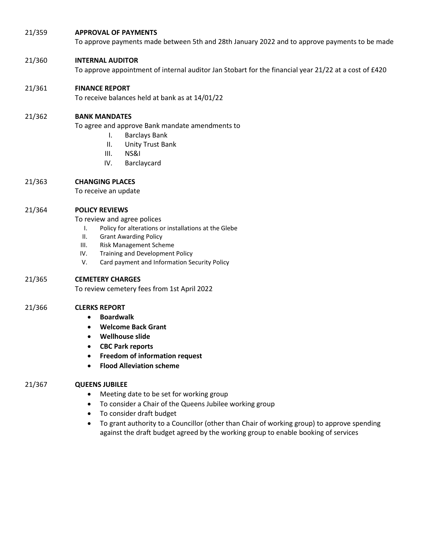# 21/359 **APPROVAL OF PAYMENTS**

To approve payments made between 5th and 28th January 2022 and to approve payments to be made

# 21/360 **INTERNAL AUDITOR**

To approve appointment of internal auditor Jan Stobart for the financial year 21/22 at a cost of £420

# 21/361 **FINANCE REPORT**

To receive balances held at bank as at 14/01/22

## 21/362 **BANK MANDATES**

To agree and approve Bank mandate amendments to

- I. Barclays Bank
- II. Unity Trust Bank
- III. NS&I
- IV. Barclaycard

# 21/363 **CHANGING PLACES**

To receive an update

## 21/364 **POLICY REVIEWS**

To review and agree polices

- I. Policy for alterations or installations at the Glebe
- II. Grant Awarding Policy
- III. Risk Management Scheme
- IV. Training and Development Policy
- V. Card payment and Information Security Policy

# 21/365 **CEMETERY CHARGES**

To review cemetery fees from 1st April 2022

#### 21/366 **CLERKS REPORT**

- **Boardwalk**
- **Welcome Back Grant**
- **Wellhouse slide**
- **CBC Park reports**
- **Freedom of information request**
- **Flood Alleviation scheme**

#### 21/367 **QUEENS JUBILEE**

- Meeting date to be set for working group
- To consider a Chair of the Queens Jubilee working group
- To consider draft budget
- To grant authority to a Councillor (other than Chair of working group) to approve spending against the draft budget agreed by the working group to enable booking of services